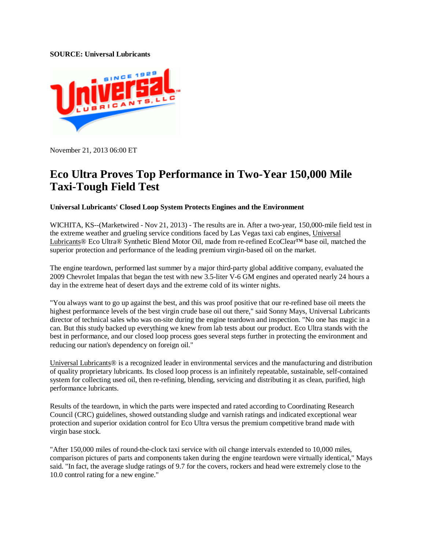### **SOURCE: Universal Lubricants**



November 21, 2013 06:00 ET

# **Eco Ultra Proves Top Performance in Two-Year 150,000 Mile Taxi-Tough Field Test**

### **Universal Lubricants' Closed Loop System Protects Engines and the Environment**

WICHITA, KS--(Marketwired - Nov 21, 2013) - The results are in. After a two-year, 150,000-mile field test in the extreme weather and grueling service conditions faced by Las Vegas taxi cab engines, Universal Lubricants*®* Eco Ultra® Synthetic Blend Motor Oil, made from re-refined EcoClear™ base oil, matched the superior protection and performance of the leading premium virgin-based oil on the market.

The engine teardown, performed last summer by a major third-party global additive company, evaluated the 2009 Chevrolet Impalas that began the test with new 3.5-liter V-6 GM engines and operated nearly 24 hours a day in the extreme heat of desert days and the extreme cold of its winter nights.

"You always want to go up against the best, and this was proof positive that our re-refined base oil meets the highest performance levels of the best virgin crude base oil out there," said Sonny Mays, Universal Lubricants director of technical sales who was on-site during the engine teardown and inspection. "No one has magic in a can. But this study backed up everything we knew from lab tests about our product. Eco Ultra stands with the best in performance, and our closed loop process goes several steps further in protecting the environment and reducing our nation's dependency on foreign oil."

Universal Lubricants*®* is a recognized leader in environmental services and the manufacturing and distribution of quality proprietary lubricants. Its closed loop process is an infinitely repeatable, sustainable, self-contained system for collecting used oil, then re-refining, blending, servicing and distributing it as clean, purified, high performance lubricants.

Results of the teardown, in which the parts were inspected and rated according to Coordinating Research Council (CRC) guidelines, showed outstanding sludge and varnish ratings and indicated exceptional wear protection and superior oxidation control for Eco Ultra versus the premium competitive brand made with virgin base stock.

"After 150,000 miles of round-the-clock taxi service with oil change intervals extended to 10,000 miles, comparison pictures of parts and components taken during the engine teardown were virtually identical," Mays said. "In fact, the average sludge ratings of 9.7 for the covers, rockers and head were extremely close to the 10.0 control rating for a new engine."